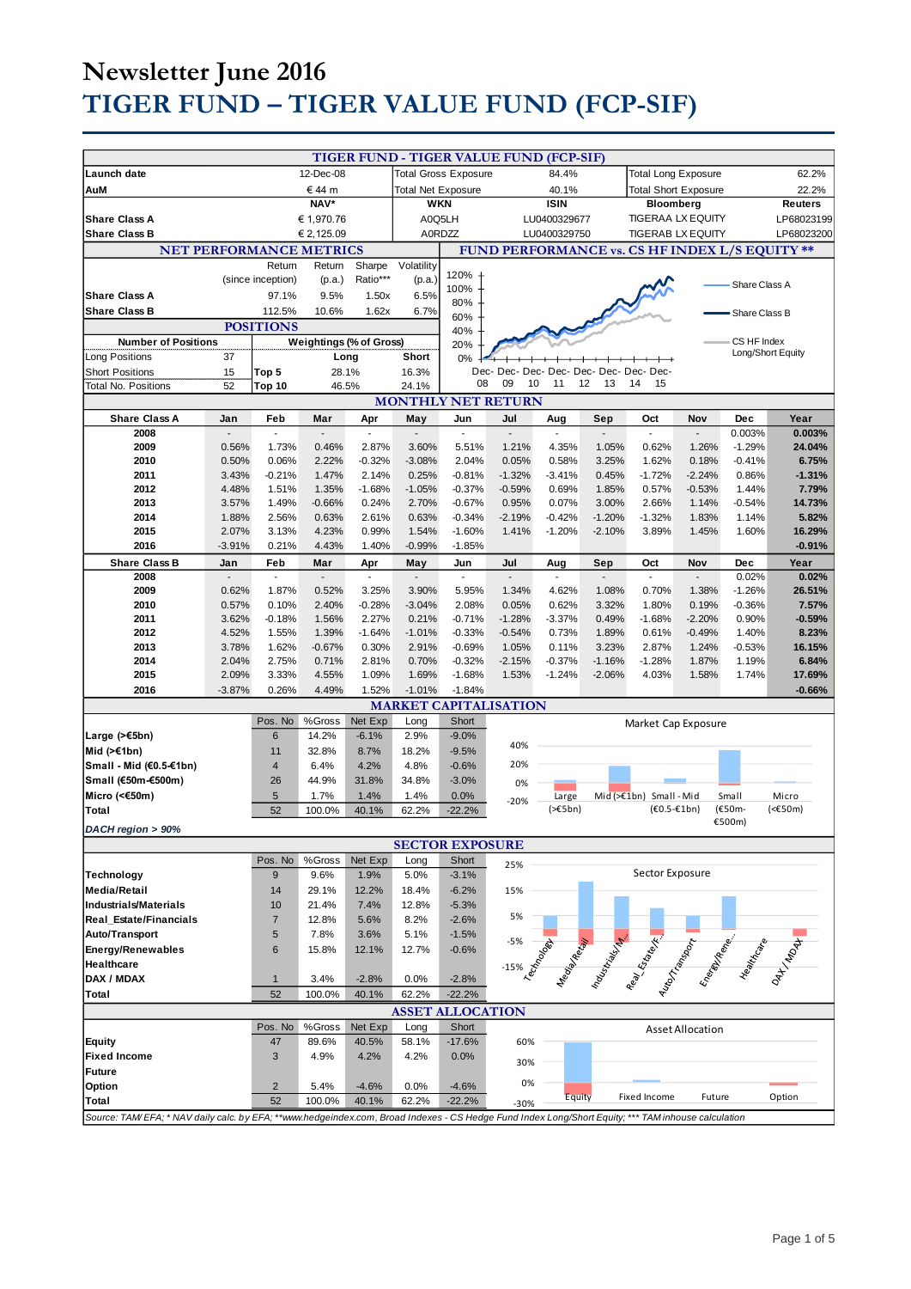# **Newsletter June 2016 TIGER FUND – TIGER VALUE FUND (FCP-SIF)**

|                                                                                                                                                     |           |                   |                           |                                                    |                                                | TIGER FUND - TIGER VALUE FUND (FCP-SIF) |                                         |                             |           |                                                                                                                                                                                                                                |                  |                   |          |
|-----------------------------------------------------------------------------------------------------------------------------------------------------|-----------|-------------------|---------------------------|----------------------------------------------------|------------------------------------------------|-----------------------------------------|-----------------------------------------|-----------------------------|-----------|--------------------------------------------------------------------------------------------------------------------------------------------------------------------------------------------------------------------------------|------------------|-------------------|----------|
| Launch date                                                                                                                                         | 12-Dec-08 |                   |                           | <b>Total Gross Exposure</b>                        |                                                | 84.4%                                   |                                         | <b>Total Long Exposure</b>  |           |                                                                                                                                                                                                                                | 62.2%            |                   |          |
| € 44 m<br>AuM                                                                                                                                       |           |                   | <b>Total Net Exposure</b> |                                                    |                                                | 40.1%                                   |                                         | <b>Total Short Exposure</b> |           |                                                                                                                                                                                                                                | 22.2%            |                   |          |
| NAV*                                                                                                                                                |           |                   |                           | <b>WKN</b>                                         |                                                |                                         | <b>ISIN</b>                             |                             | Bloomberg |                                                                                                                                                                                                                                |                  | <b>Reuters</b>    |          |
| <b>Share Class A</b><br>€ 1,970.76                                                                                                                  |           |                   | A0Q5LH                    |                                                    |                                                | LU0400329677                            |                                         | <b>TIGERAA LX EQUITY</b>    |           |                                                                                                                                                                                                                                | LP68023199       |                   |          |
| <b>Share Class B</b><br>€ 2,125.09                                                                                                                  |           |                   |                           | A0RDZZ<br>LU0400329750<br><b>TIGERAB LX EQUITY</b> |                                                |                                         |                                         |                             |           | LP68023200                                                                                                                                                                                                                     |                  |                   |          |
| <b>NET PERFORMANCE METRICS</b>                                                                                                                      |           |                   |                           |                                                    | FUND PERFORMANCE vs. CS HF INDEX L/S EQUITY ** |                                         |                                         |                             |           |                                                                                                                                                                                                                                |                  |                   |          |
|                                                                                                                                                     |           | Return            | Return                    | Sharpe                                             | Volatility                                     |                                         |                                         |                             |           |                                                                                                                                                                                                                                |                  |                   |          |
|                                                                                                                                                     |           |                   |                           | Ratio***                                           |                                                | 120%                                    |                                         |                             |           |                                                                                                                                                                                                                                |                  |                   |          |
|                                                                                                                                                     |           | (since inception) | (p.a.)                    |                                                    | (p.a.)                                         | 100%                                    |                                         |                             |           |                                                                                                                                                                                                                                |                  | Share Class A     |          |
| <b>Share Class A</b>                                                                                                                                |           | 97.1%             | 9.5%                      | 1.50x                                              | 6.5%                                           | 80%                                     |                                         |                             |           |                                                                                                                                                                                                                                |                  |                   |          |
| <b>Share Class B</b>                                                                                                                                |           | 112.5%            | 10.6%                     | 1.62x                                              | 6.7%                                           | 60%                                     |                                         |                             |           |                                                                                                                                                                                                                                |                  | Share Class B     |          |
|                                                                                                                                                     |           | <b>POSITIONS</b>  |                           |                                                    |                                                | 40%                                     |                                         |                             |           |                                                                                                                                                                                                                                |                  |                   |          |
| <b>Number of Positions</b>                                                                                                                          |           |                   | Weightings (% of Gross)   |                                                    |                                                | 20%                                     |                                         |                             |           |                                                                                                                                                                                                                                |                  | CS HF Index       |          |
| Long Positions                                                                                                                                      | 37        |                   | Long                      |                                                    | Short                                          | 0%                                      |                                         |                             |           |                                                                                                                                                                                                                                |                  | Long/Short Equity |          |
| <b>Short Positions</b>                                                                                                                              | 15        | Top 5             | 28.1%                     |                                                    | 16.3%                                          |                                         | Dec- Dec- Dec- Dec- Dec- Dec- Dec- Dec- |                             |           |                                                                                                                                                                                                                                |                  |                   |          |
| <b>Total No. Positions</b>                                                                                                                          | 52        | Top 10            | 46.5%                     |                                                    | 24.1%                                          | 08                                      | 09<br>10                                | 11                          | 12<br>13  | 14<br>15                                                                                                                                                                                                                       |                  |                   |          |
|                                                                                                                                                     |           |                   |                           |                                                    |                                                |                                         | <b>MONTHLY NET RETURN</b>               |                             |           |                                                                                                                                                                                                                                |                  |                   |          |
|                                                                                                                                                     |           |                   |                           |                                                    |                                                |                                         |                                         |                             |           |                                                                                                                                                                                                                                |                  |                   |          |
| <b>Share Class A</b>                                                                                                                                | Jan       | Feb               | Mar                       | Apr                                                | May                                            | Jun                                     | Jul                                     | Aug                         | Sep       | Oct                                                                                                                                                                                                                            | Nov              | Dec               | Year     |
| 2008                                                                                                                                                |           | ÷,                |                           | $\overline{a}$                                     | $\overline{a}$                                 | $\overline{\phantom{a}}$                | ÷,                                      |                             |           | ÷,                                                                                                                                                                                                                             |                  | 0.003%            | 0.003%   |
| 2009                                                                                                                                                | 0.56%     | 1.73%             | 0.46%                     | 2.87%                                              | 3.60%                                          | 5.51%                                   | 1.21%                                   | 4.35%                       | 1.05%     | 0.62%                                                                                                                                                                                                                          | 1.26%            | $-1.29%$          | 24.04%   |
| 2010                                                                                                                                                | 0.50%     | 0.06%             | 2.22%                     | $-0.32%$                                           | $-3.08%$                                       | 2.04%                                   | 0.05%                                   | 0.58%                       | 3.25%     | 1.62%                                                                                                                                                                                                                          | 0.18%            | $-0.41%$          | 6.75%    |
| 2011                                                                                                                                                | 3.43%     | $-0.21%$          | 1.47%                     | 2.14%                                              | 0.25%                                          | $-0.81%$                                | $-1.32%$                                | $-3.41%$                    | 0.45%     | $-1.72%$                                                                                                                                                                                                                       | $-2.24%$         | 0.86%             | $-1.31%$ |
| 2012                                                                                                                                                | 4.48%     | 1.51%             | 1.35%                     | $-1.68%$                                           | $-1.05%$                                       | $-0.37%$                                | $-0.59%$                                | 0.69%                       | 1.85%     | 0.57%                                                                                                                                                                                                                          | $-0.53%$         | 1.44%             | 7.79%    |
| 2013                                                                                                                                                | 3.57%     | 1.49%             | $-0.66%$                  | 0.24%                                              | 2.70%                                          | $-0.67%$                                | 0.95%                                   | 0.07%                       | 3.00%     | 2.66%                                                                                                                                                                                                                          | 1.14%            | $-0.54%$          | 14.73%   |
| 2014                                                                                                                                                | 1.88%     | 2.56%             | 0.63%                     | 2.61%                                              | 0.63%                                          | $-0.34%$                                | $-2.19%$                                | $-0.42%$                    | $-1.20%$  | $-1.32%$                                                                                                                                                                                                                       | 1.83%            | 1.14%             | 5.82%    |
| 2015                                                                                                                                                | 2.07%     | 3.13%             | 4.23%                     | 0.99%                                              | 1.54%                                          | $-1.60%$                                | 1.41%                                   | $-1.20%$                    | $-2.10%$  | 3.89%                                                                                                                                                                                                                          | 1.45%            | 1.60%             | 16.29%   |
| 2016                                                                                                                                                | $-3.91%$  | 0.21%             | 4.43%                     | 1.40%                                              | $-0.99%$                                       | $-1.85%$                                |                                         |                             |           |                                                                                                                                                                                                                                |                  |                   | $-0.91%$ |
| <b>Share Class B</b>                                                                                                                                | Jan       | Feb               | Mar                       | Apr                                                | May                                            | Jun                                     | Jul                                     | Aug                         | Sep       | Oct                                                                                                                                                                                                                            | Nov              | Dec               | Year     |
| 2008                                                                                                                                                |           |                   |                           |                                                    |                                                |                                         |                                         |                             |           |                                                                                                                                                                                                                                |                  | 0.02%             | 0.02%    |
| 2009                                                                                                                                                | 0.62%     | 1.87%             | 0.52%                     | 3.25%                                              | 3.90%                                          | 5.95%                                   | 1.34%                                   | 4.62%                       | 1.08%     | 0.70%                                                                                                                                                                                                                          | 1.38%            | $-1.26%$          | 26.51%   |
| 2010                                                                                                                                                | 0.57%     | 0.10%             | 2.40%                     | $-0.28%$                                           | $-3.04%$                                       | 2.08%                                   | 0.05%                                   | 0.62%                       | 3.32%     | 1.80%                                                                                                                                                                                                                          | 0.19%            | $-0.36%$          | 7.57%    |
| 2011                                                                                                                                                | 3.62%     | $-0.18%$          | 1.56%                     | 2.27%                                              | 0.21%                                          | $-0.71%$                                | $-1.28%$                                | $-3.37%$                    | 0.49%     | $-1.68%$                                                                                                                                                                                                                       | $-2.20%$         | 0.90%             | $-0.59%$ |
| 2012                                                                                                                                                | 4.52%     | 1.55%             | 1.39%                     | $-1.64%$                                           | $-1.01%$                                       | $-0.33%$                                | $-0.54%$                                | 0.73%                       | 1.89%     | 0.61%                                                                                                                                                                                                                          | $-0.49%$         | 1.40%             | 8.23%    |
| 2013                                                                                                                                                | 3.78%     | 1.62%             | $-0.67%$                  | 0.30%                                              | 2.91%                                          | $-0.69%$                                | 1.05%                                   | 0.11%                       | 3.23%     | 2.87%                                                                                                                                                                                                                          | 1.24%            | $-0.53%$          | 16.15%   |
| 2014                                                                                                                                                | 2.04%     | 2.75%             | 0.71%                     | 2.81%                                              | 0.70%                                          | $-0.32%$                                | $-2.15%$                                | $-0.37%$                    | $-1.16%$  | $-1.28%$                                                                                                                                                                                                                       | 1.87%            | 1.19%             | 6.84%    |
| 2015                                                                                                                                                | 2.09%     | 3.33%             | 4.55%                     | 1.09%                                              | 1.69%                                          | $-1.68%$                                | 1.53%                                   | $-1.24%$                    | $-2.06%$  | 4.03%                                                                                                                                                                                                                          |                  |                   | 17.69%   |
|                                                                                                                                                     |           |                   |                           |                                                    |                                                |                                         |                                         |                             |           |                                                                                                                                                                                                                                | 1.58%            | 1.74%             |          |
| 2016                                                                                                                                                | $-3.87%$  | 0.26%             | 4.49%                     | 1.52%                                              | $-1.01%$                                       | $-1.84%$                                |                                         |                             |           |                                                                                                                                                                                                                                |                  |                   | $-0.66%$ |
|                                                                                                                                                     |           |                   |                           |                                                    |                                                |                                         | <b>MARKET CAPITALISATION</b>            |                             |           |                                                                                                                                                                                                                                |                  |                   |          |
|                                                                                                                                                     |           | Pos. No           | %Gross                    | Net Exp                                            | Long                                           | Short                                   |                                         |                             |           | Market Cap Exposure                                                                                                                                                                                                            |                  |                   |          |
| Large (>€5bn)                                                                                                                                       |           | 6                 | 14.2%                     | $-6.1%$                                            | 2.9%                                           | $-9.0%$                                 |                                         |                             |           |                                                                                                                                                                                                                                |                  |                   |          |
| Mid $($ >€1bn)                                                                                                                                      |           | 11                | 32.8%                     | 8.7%                                               | 18.2%                                          | $-9.5%$                                 | 40%                                     |                             |           |                                                                                                                                                                                                                                |                  |                   |          |
| Small - Mid (€0.5-€1bn)                                                                                                                             |           | $\overline{4}$    | 6.4%                      | 4.2%                                               | 4.8%                                           | $-0.6%$                                 | 20%                                     |                             |           |                                                                                                                                                                                                                                |                  |                   |          |
| Small (€50m-€500m)                                                                                                                                  |           | 26                | 44.9%                     | 31.8%                                              | 34.8%                                          | $-3.0%$                                 | 0%                                      |                             |           |                                                                                                                                                                                                                                |                  |                   |          |
| Micro (<€50m)                                                                                                                                       |           | 5                 | 1.7%                      | 1.4%                                               | 1.4%                                           | 0.0%                                    | $-20%$                                  | Large                       |           | Mid(>€1bn) Small-Mid                                                                                                                                                                                                           |                  | Small             | Micro    |
| Total                                                                                                                                               |           | 52                | 100.0%                    | 40.1%                                              | 62.2%                                          | $-22.2%$                                |                                         | $(\geq 5$ bn)               |           | $(€0.5-€1bn)$                                                                                                                                                                                                                  |                  | (€50m-            | (<€50m)  |
| DACH region > 90%                                                                                                                                   |           |                   |                           |                                                    |                                                |                                         |                                         |                             |           |                                                                                                                                                                                                                                |                  | €500m)            |          |
|                                                                                                                                                     |           |                   |                           |                                                    |                                                |                                         |                                         |                             |           |                                                                                                                                                                                                                                |                  |                   |          |
|                                                                                                                                                     |           |                   |                           |                                                    | <b>SECTOR EXPOSURE</b>                         |                                         |                                         |                             |           |                                                                                                                                                                                                                                |                  |                   |          |
|                                                                                                                                                     |           | Pos. No           | %Gross                    | Net Exp                                            | Long                                           | Short                                   | 25%                                     |                             |           | Sector Exposure                                                                                                                                                                                                                |                  |                   |          |
| Technology                                                                                                                                          |           | $\boldsymbol{9}$  | 9.6%                      | 1.9%                                               | 5.0%                                           | $-3.1%$                                 |                                         |                             |           |                                                                                                                                                                                                                                |                  |                   |          |
| <b>Media/Retail</b>                                                                                                                                 |           | 14                | 29.1%                     | 12.2%                                              | 18.4%                                          | $-6.2%$                                 | 15%                                     |                             |           |                                                                                                                                                                                                                                |                  |                   |          |
| <b>Industrials/Materials</b>                                                                                                                        |           | 10                | 21.4%                     | 7.4%                                               | 12.8%                                          | $-5.3%$                                 |                                         |                             |           |                                                                                                                                                                                                                                |                  |                   |          |
| <b>Real Estate/Financials</b>                                                                                                                       |           | $\overline{7}$    | 12.8%                     | 5.6%                                               | 8.2%                                           | $-2.6%$                                 | 5%                                      |                             |           |                                                                                                                                                                                                                                |                  |                   |          |
| Auto/Transport                                                                                                                                      |           | 5                 | 7.8%                      | 3.6%                                               | 5.1%                                           | $-1.5%$                                 |                                         |                             |           |                                                                                                                                                                                                                                |                  |                   |          |
| <b>Energy/Renewables</b>                                                                                                                            |           | $6\phantom{1}$    | 15.8%                     | 12.1%                                              | 12.7%                                          | $-0.6%$                                 |                                         |                             |           |                                                                                                                                                                                                                                |                  |                   |          |
| Healthcare                                                                                                                                          |           |                   |                           |                                                    |                                                |                                         |                                         |                             |           |                                                                                                                                                                                                                                |                  |                   |          |
| DAX / MDAX                                                                                                                                          |           | $\mathbf{1}$      | 3.4%                      | $-2.8%$                                            | 0.0%                                           | $-2.8%$                                 |                                         |                             |           |                                                                                                                                                                                                                                |                  |                   |          |
| Total                                                                                                                                               |           | 52                | 100.0%                    | 40.1%                                              | 62.2%                                          | $-22.2%$                                |                                         |                             |           | -5% does do a factor of the contract of the contract of the contract of the contract of the contract of the contract of the contract of the contract of the contract of the contract of the contract of the contract of the co |                  |                   |          |
|                                                                                                                                                     |           |                   |                           |                                                    |                                                |                                         |                                         |                             |           |                                                                                                                                                                                                                                |                  |                   |          |
|                                                                                                                                                     |           |                   |                           |                                                    | <b>ASSET ALLOCATION</b>                        |                                         |                                         |                             |           |                                                                                                                                                                                                                                |                  |                   |          |
|                                                                                                                                                     |           | Pos. No           | %Gross                    | Net Exp                                            | Long                                           | Short                                   |                                         |                             |           |                                                                                                                                                                                                                                | Asset Allocation |                   |          |
| <b>Equity</b>                                                                                                                                       |           | 47                | 89.6%                     | 40.5%                                              | 58.1%                                          | $-17.6%$                                | 60%                                     |                             |           |                                                                                                                                                                                                                                |                  |                   |          |
| <b>Fixed Income</b>                                                                                                                                 |           | 3                 | 4.9%                      | 4.2%                                               | 4.2%                                           | 0.0%                                    | 30%                                     |                             |           |                                                                                                                                                                                                                                |                  |                   |          |
| <b>Future</b>                                                                                                                                       |           |                   |                           |                                                    |                                                |                                         |                                         |                             |           |                                                                                                                                                                                                                                |                  |                   |          |
| Option                                                                                                                                              |           | $\overline{2}$    | 5.4%                      | $-4.6%$                                            | 0.0%                                           | $-4.6%$                                 | 0%                                      |                             |           |                                                                                                                                                                                                                                |                  |                   |          |
| Total                                                                                                                                               |           | 52                | 100.0%                    | 40.1%                                              | 62.2%                                          | $-22.2%$                                | $-30%$                                  | Equity                      |           | Fixed Income                                                                                                                                                                                                                   | Future           |                   | Option   |
| Source: TAM/EFA; * NAV daily calc. by EFA; **www.hedgeindex.com, Broad Indexes - CS Hedge Fund Index Long/Short Equity; *** TAM inhouse calculation |           |                   |                           |                                                    |                                                |                                         |                                         |                             |           |                                                                                                                                                                                                                                |                  |                   |          |
|                                                                                                                                                     |           |                   |                           |                                                    |                                                |                                         |                                         |                             |           |                                                                                                                                                                                                                                |                  |                   |          |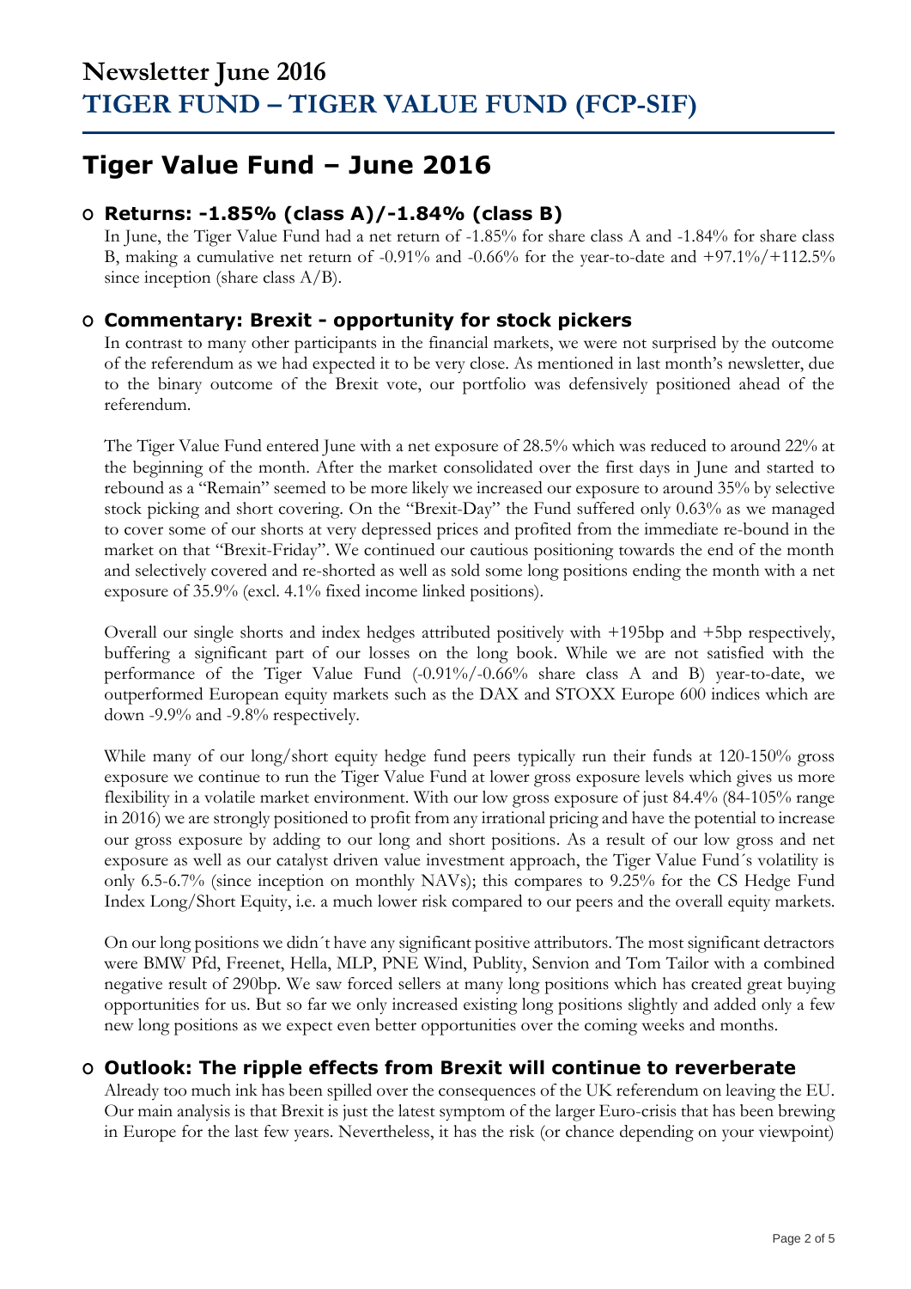## **Tiger Value Fund – June 2016**

### **O Returns: -1.85% (class A)/-1.84% (class B)**

In June, the Tiger Value Fund had a net return of -1.85% for share class A and -1.84% for share class B, making a cumulative net return of -0.91% and -0.66% for the year-to-date and  $+97.1\%/+112.5\%$ since inception (share class  $A/B$ ).

### **O Commentary: Brexit - opportunity for stock pickers**

In contrast to many other participants in the financial markets, we were not surprised by the outcome of the referendum as we had expected it to be very close. As mentioned in last month's newsletter, due to the binary outcome of the Brexit vote, our portfolio was defensively positioned ahead of the referendum.

The Tiger Value Fund entered June with a net exposure of 28.5% which was reduced to around 22% at the beginning of the month. After the market consolidated over the first days in June and started to rebound as a "Remain" seemed to be more likely we increased our exposure to around 35% by selective stock picking and short covering. On the "Brexit-Day" the Fund suffered only 0.63% as we managed to cover some of our shorts at very depressed prices and profited from the immediate re-bound in the market on that "Brexit-Friday". We continued our cautious positioning towards the end of the month and selectively covered and re-shorted as well as sold some long positions ending the month with a net exposure of 35.9% (excl. 4.1% fixed income linked positions).

Overall our single shorts and index hedges attributed positively with +195bp and +5bp respectively, buffering a significant part of our losses on the long book. While we are not satisfied with the performance of the Tiger Value Fund (-0.91%/-0.66% share class A and B) year-to-date, we outperformed European equity markets such as the DAX and STOXX Europe 600 indices which are down -9.9% and -9.8% respectively.

While many of our long/short equity hedge fund peers typically run their funds at 120-150% gross exposure we continue to run the Tiger Value Fund at lower gross exposure levels which gives us more flexibility in a volatile market environment. With our low gross exposure of just 84.4% (84-105% range in 2016) we are strongly positioned to profit from any irrational pricing and have the potential to increase our gross exposure by adding to our long and short positions. As a result of our low gross and net exposure as well as our catalyst driven value investment approach, the Tiger Value Fund´s volatility is only 6.5-6.7% (since inception on monthly NAVs); this compares to 9.25% for the CS Hedge Fund Index Long/Short Equity, i.e. a much lower risk compared to our peers and the overall equity markets.

On our long positions we didn´t have any significant positive attributors. The most significant detractors were BMW Pfd, Freenet, Hella, MLP, PNE Wind, Publity, Senvion and Tom Tailor with a combined negative result of 290bp. We saw forced sellers at many long positions which has created great buying opportunities for us. But so far we only increased existing long positions slightly and added only a few new long positions as we expect even better opportunities over the coming weeks and months.

## **O Outlook: The ripple effects from Brexit will continue to reverberate**

Already too much ink has been spilled over the consequences of the UK referendum on leaving the EU. Our main analysis is that Brexit is just the latest symptom of the larger Euro-crisis that has been brewing in Europe for the last few years. Nevertheless, it has the risk (or chance depending on your viewpoint)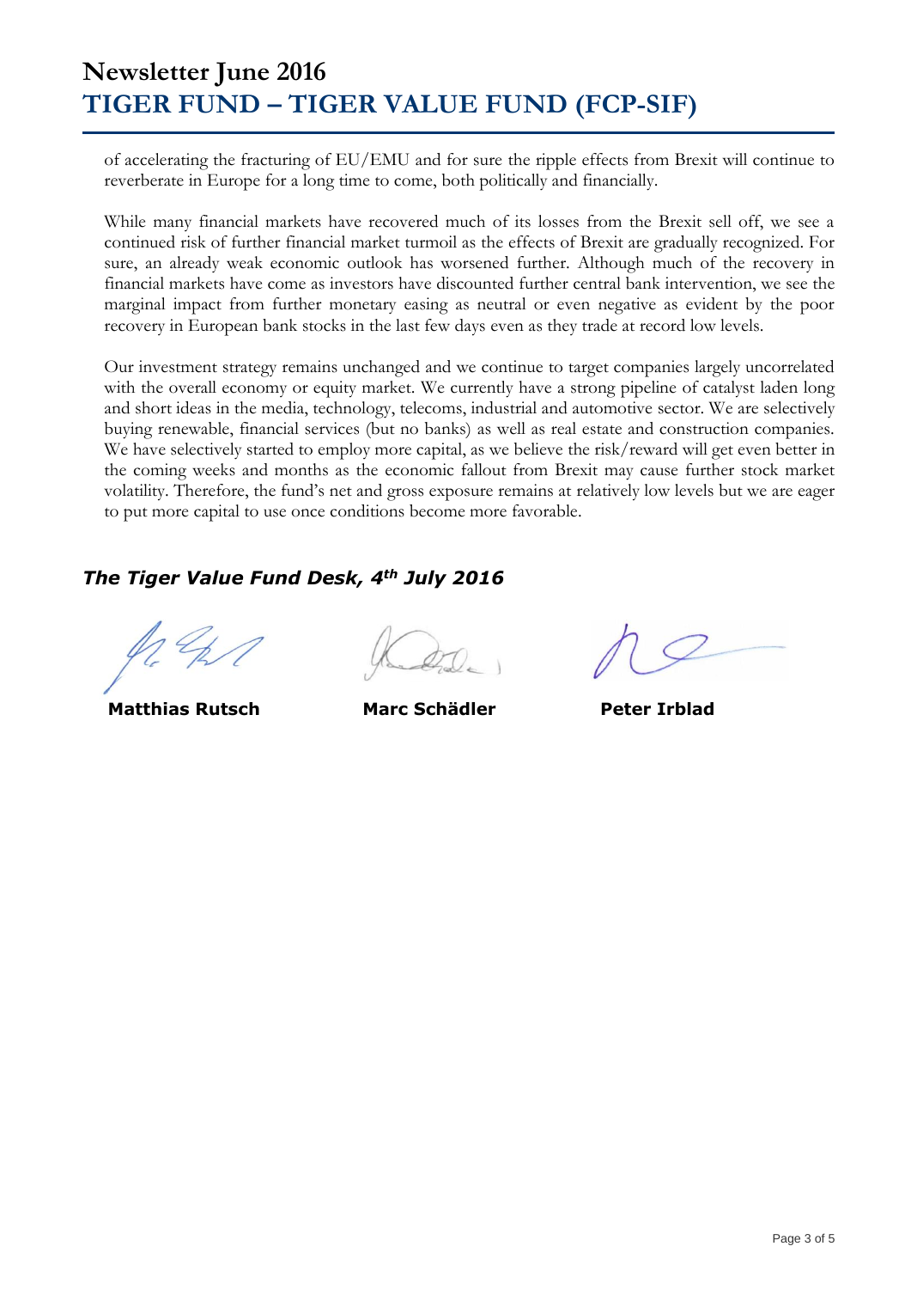## **Newsletter June 2016 TIGER FUND – TIGER VALUE FUND (FCP-SIF)**

of accelerating the fracturing of EU/EMU and for sure the ripple effects from Brexit will continue to reverberate in Europe for a long time to come, both politically and financially.

While many financial markets have recovered much of its losses from the Brexit sell off, we see a continued risk of further financial market turmoil as the effects of Brexit are gradually recognized. For sure, an already weak economic outlook has worsened further. Although much of the recovery in financial markets have come as investors have discounted further central bank intervention, we see the marginal impact from further monetary easing as neutral or even negative as evident by the poor recovery in European bank stocks in the last few days even as they trade at record low levels.

Our investment strategy remains unchanged and we continue to target companies largely uncorrelated with the overall economy or equity market. We currently have a strong pipeline of catalyst laden long and short ideas in the media, technology, telecoms, industrial and automotive sector. We are selectively buying renewable, financial services (but no banks) as well as real estate and construction companies. We have selectively started to employ more capital, as we believe the risk/reward will get even better in the coming weeks and months as the economic fallout from Brexit may cause further stock market volatility. Therefore, the fund's net and gross exposure remains at relatively low levels but we are eager to put more capital to use once conditions become more favorable.

### *The Tiger Value Fund Desk, 4th July 2016*

 **Matthias Rutsch Marc Schädler Peter Irblad**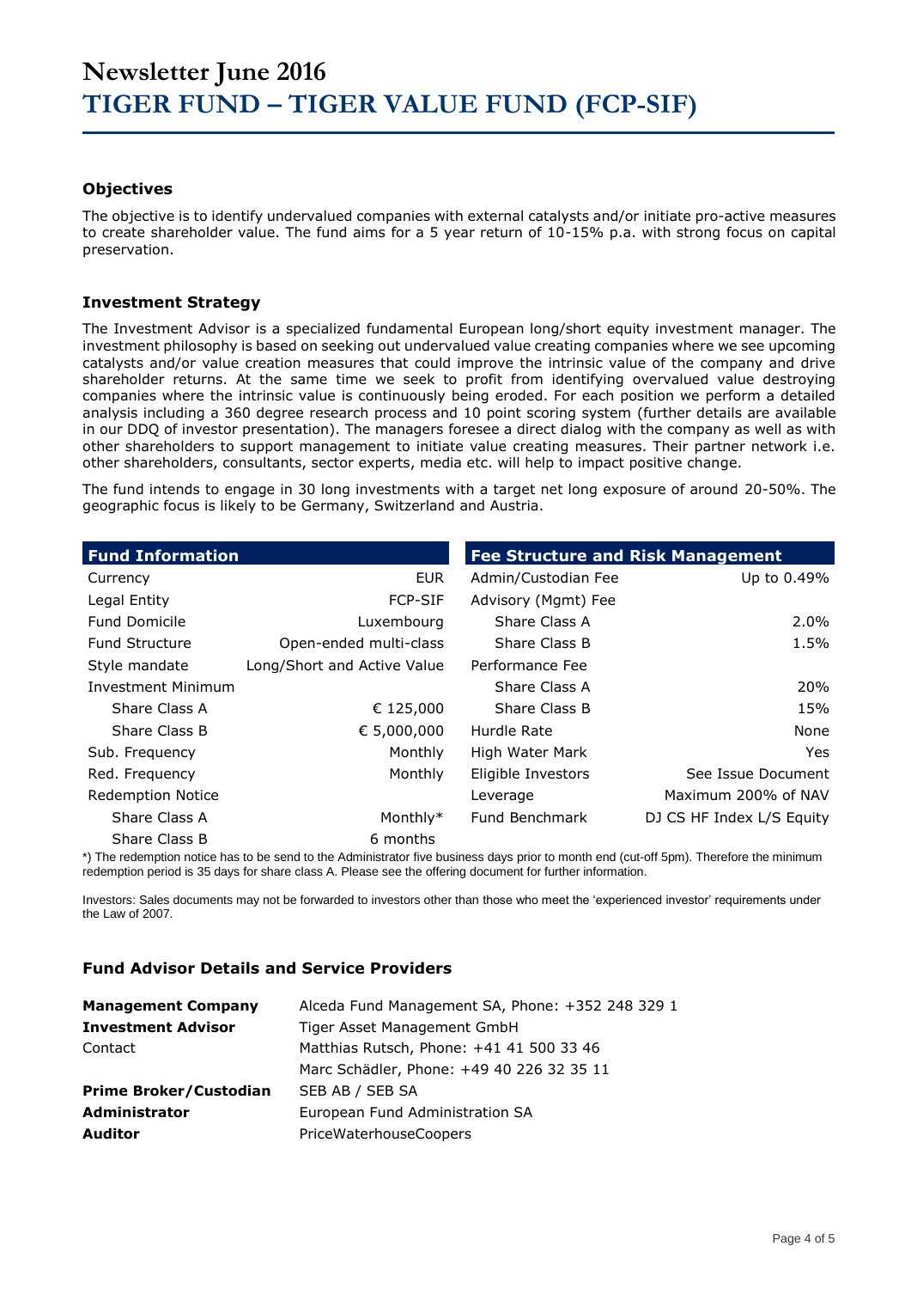#### **Objectives**

The objective is to identify undervalued companies with external catalysts and/or initiate pro-active measures to create shareholder value. The fund aims for a 5 year return of 10-15% p.a. with strong focus on capital preservation.

#### **Investment Strategy**

The Investment Advisor is a specialized fundamental European long/short equity investment manager. The investment philosophy is based on seeking out undervalued value creating companies where we see upcoming catalysts and/or value creation measures that could improve the intrinsic value of the company and drive shareholder returns. At the same time we seek to profit from identifying overvalued value destroying companies where the intrinsic value is continuously being eroded. For each position we perform a detailed analysis including a 360 degree research process and 10 point scoring system (further details are available in our DDQ of investor presentation). The managers foresee a direct dialog with the company as well as with other shareholders to support management to initiate value creating measures. Their partner network i.e. other shareholders, consultants, sector experts, media etc. will help to impact positive change.

The fund intends to engage in 30 long investments with a target net long exposure of around 20-50%. The geographic focus is likely to be Germany, Switzerland and Austria.

| <b>Fund Information</b>   |                             | <b>Fee Structure and Risk Management</b> |                           |  |  |  |  |
|---------------------------|-----------------------------|------------------------------------------|---------------------------|--|--|--|--|
| Currency                  | <b>EUR</b>                  | Admin/Custodian Fee                      | Up to 0.49%               |  |  |  |  |
| Legal Entity              | <b>FCP-SIF</b>              | Advisory (Mgmt) Fee                      |                           |  |  |  |  |
| <b>Fund Domicile</b>      | Luxembourg                  | Share Class A                            | 2.0%                      |  |  |  |  |
| <b>Fund Structure</b>     | Open-ended multi-class      | Share Class B                            | 1.5%                      |  |  |  |  |
| Style mandate             | Long/Short and Active Value | Performance Fee                          |                           |  |  |  |  |
| <b>Investment Minimum</b> |                             | Share Class A                            | 20%                       |  |  |  |  |
| Share Class A             | € 125,000                   | Share Class B                            | 15%                       |  |  |  |  |
| Share Class B             | € 5,000,000                 | Hurdle Rate                              | None                      |  |  |  |  |
| Sub. Frequency            | Monthly                     | High Water Mark                          | <b>Yes</b>                |  |  |  |  |
| Red. Frequency            | Monthly                     | Eligible Investors                       | See Issue Document        |  |  |  |  |
| <b>Redemption Notice</b>  |                             | Leverage                                 | Maximum 200% of NAV       |  |  |  |  |
| Share Class A             | Monthly*                    | Fund Benchmark                           | DJ CS HF Index L/S Equity |  |  |  |  |
|                           |                             |                                          |                           |  |  |  |  |

Share Class B 6 months

\*) The redemption notice has to be send to the Administrator five business days prior to month end (cut-off 5pm). Therefore the minimum redemption period is 35 days for share class A. Please see the offering document for further information.

Investors: Sales documents may not be forwarded to investors other than those who meet the 'experienced investor' requirements under the Law of 2007.

#### **Fund Advisor Details and Service Providers**

| <b>Management Company</b>     | Alceda Fund Management SA, Phone: +352 248 329 1 |
|-------------------------------|--------------------------------------------------|
| <b>Investment Advisor</b>     | Tiger Asset Management GmbH                      |
| Contact                       | Matthias Rutsch, Phone: +41 41 500 33 46         |
|                               | Marc Schädler, Phone: +49 40 226 32 35 11        |
| <b>Prime Broker/Custodian</b> | SEB AB / SEB SA                                  |
| <b>Administrator</b>          | European Fund Administration SA                  |
| <b>Auditor</b>                | PriceWaterhouseCoopers                           |